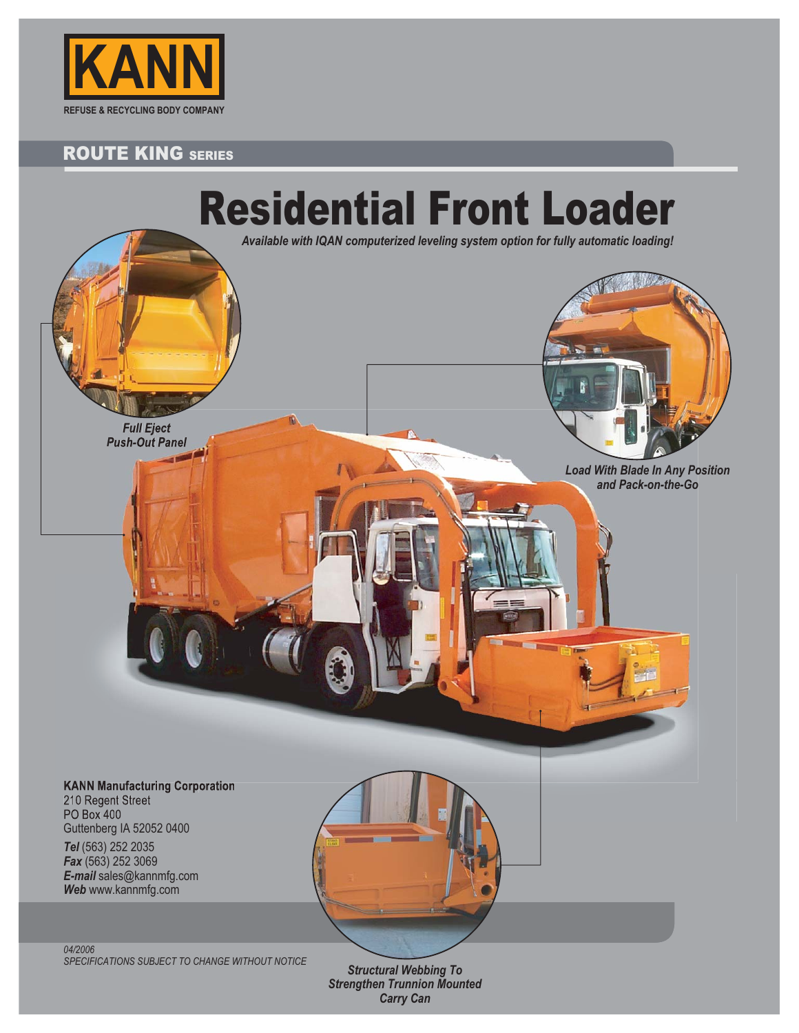

# ROUTE KING SERIES



*SPECIFICATIONS SUBJECT TO CHANGE WITHOUT NOTICE*

*Structural Webbing To Strengthen Trunnion Mounted Carry Can*